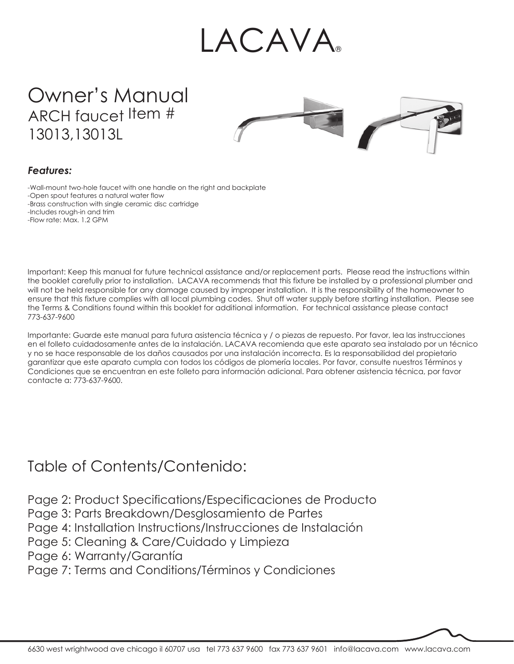# LACAVA®

Owner's Manual ARCH faucet Item # 13013, 13013L



#### *Features:*

-Wall-mount two-hole faucet with one handle on the right and backplate -Open spout features a natural water flow -Brass construction with single ceramic disc cartridge -Includes rough-in and trim -Flow rate: Max. 1.2 GPM

Important: Keep this manual for future technical assistance and/or replacement parts. Please read the instructions within the booklet carefully prior to installation. LACAVA recommends that this fixture be installed by a professional plumber and will not be held responsible for any damage caused by improper installation. It is the responsibility of the homeowner to ensure that this fixture complies with all local plumbing codes. Shut off water supply before starting installation. Please see the Terms & Conditions found within this booklet for additional information. For technical assistance please contact 773-637-9600

Importante: Guarde este manual para futura asistencia técnica y / o piezas de repuesto. Por favor, lea las instrucciones en el folleto cuidadosamente antes de la instalación. LACAVA recomienda que este aparato sea instalado por un técnico y no se hace responsable de los daños causados por una instalación incorrecta. Es la responsabilidad del propietario garantizar que este aparato cumpla con todos los códigos de plomería locales. Por favor, consulte nuestros Términos y Condiciones que se encuentran en este folleto para información adicional. Para obtener asistencia técnica, por favor contacte a: 773-637-9600.

### Table of Contents/Contenido:

Page 2: Product Specifications/Especificaciones de Producto

Page 3: Parts Breakdown/Desglosamiento de Partes

Page 4: Installation Instructions/Instrucciones de Instalación

- Page 5: Cleaning & Care/Cuidado y Limpieza
- Page 6: Warranty/Garantía

Page 7: Terms and Conditions/Términos y Condiciones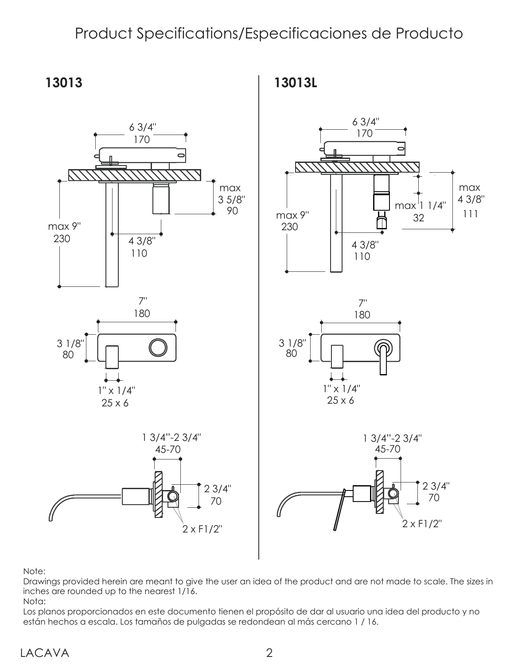### Product Specifications/Especificaciones de Producto



Note:

Drawings provided herein are meant to give the user an idea of the product and are not made to scale. The sizes in inches are rounded up to the nearest 1/16.

Nota:

Los planos proporcionados en este documento tienen el propósito de dar al usuario una idea del producto y no están hechos a escala. Los tamaños de pulgadas se redondean al más cercano 1 / 16.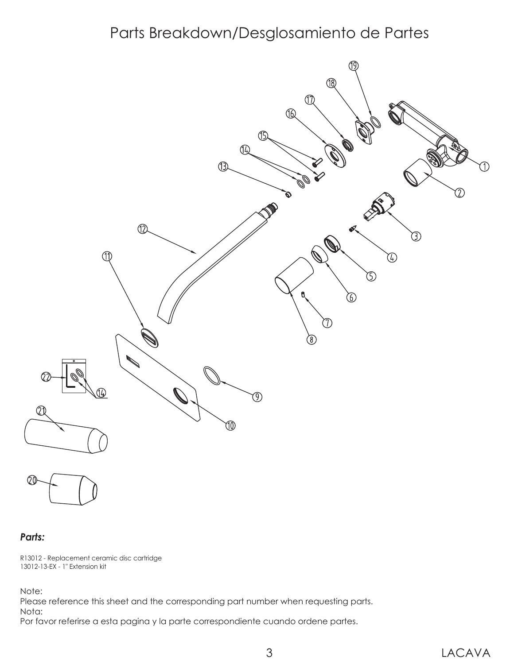### Parts Breakdown/Desglosamiento de Partes



20

#### *Parts:*

R13012 - Replacement ceramic disc cartridge 13012-13-EX - 1" Extension kit

Note:

Please reference this sheet and the corresponding part number when requesting parts. Nota:

Por favor referirse a esta pagina y la parte correspondiente cuando ordene partes.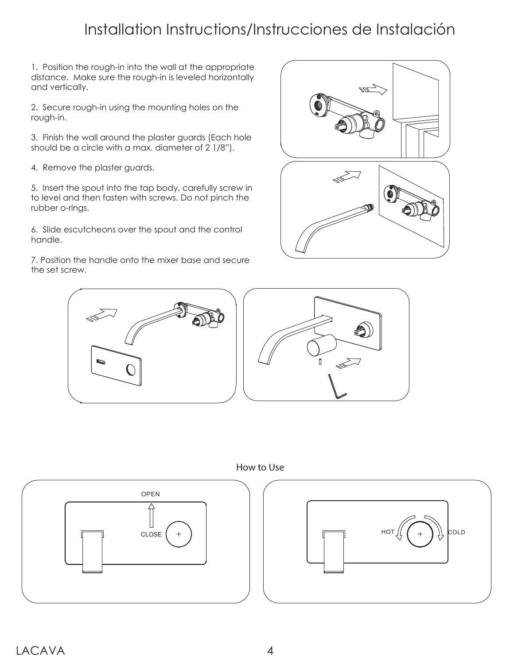## Installation Instructions/Instrucciones de Instalación

1. Position the rough-in into the wall at the appropriate distance. Make sure the rough-in is leveled horizontally and vertically.

2. Secure rough-in using the mounting holes on the rough-in.

3. Finish the wall around the plaster guards (Each hole should be a circle with a max. diameter of 2 1/8").

4. Remove the plaster guards.

5. Insert the spout into the tap body, carefully screw in to level and then fasten with screws. Do not pinch the rubber o-rings.

6. Slide escutcheons over the spout and the control handle.

7. Position the handle onto the mixer base and secure the set screw.

![](_page_3_Picture_8.jpeg)

![](_page_3_Picture_9.jpeg)

How to Use

![](_page_3_Figure_11.jpeg)

![](_page_3_Figure_12.jpeg)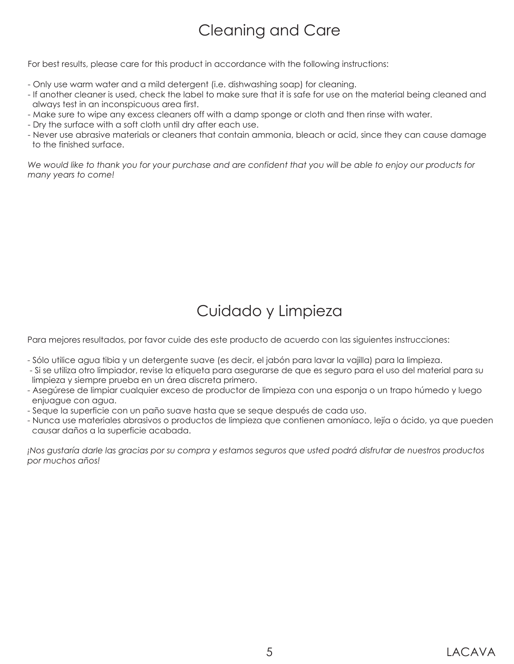## Cleaning and Care

For best results, please care for this product in accordance with the following instructions:

- Only use warm water and a mild detergent (i.e. dishwashing soap) for cleaning.
- If another cleaner is used, check the label to make sure that it is safe for use on the material being cleaned and always test in an inconspicuous area first.
- Make sure to wipe any excess cleaners off with a damp sponge or cloth and then rinse with water.
- Dry the surface with a soft cloth until dry after each use.
- Never use abrasive materials or cleaners that contain ammonia, bleach or acid, since they can cause damage to the finished surface.

*We would like to thank you for your purchase and are confident that you will be able to enjoy our products for many years to come!*

# Cuidado y Limpieza

Para mejores resultados, por favor cuide des este producto de acuerdo con las siguientes instrucciones:

- Sólo utilice agua tibia y un detergente suave (es decir, el jabón para lavar la vajilla) para la limpieza.
- Si se utiliza otro limpiador, revise la etiqueta para asegurarse de que es seguro para el uso del material para su limpieza y siempre prueba en un área discreta primero.
- Asegúrese de limpiar cualquier exceso de productor de limpieza con una esponja o un trapo húmedo y luego enjuague con agua.
- Seque la superficie con un paño suave hasta que se seque después de cada uso.
- Nunca use materiales abrasivos o productos de limpieza que contienen amoníaco, lejía o ácido, ya que pueden causar daños a la superficie acabada.

*¡Nos gustaría darle las gracias por su compra y estamos seguros que usted podrá disfrutar de nuestros productos por muchos años!*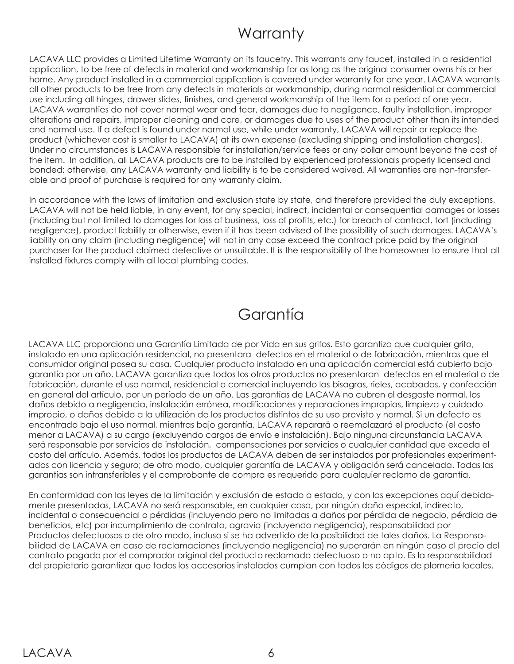### **Warranty**

LACAVA LLC provides a Limited Lifetime Warranty on its faucetry. This warrants any faucet, installed in a residential application, to be free of defects in material and workmanship for as long as the original consumer owns his or her home. Any product installed in a commercial application is covered under warranty for one year. LACAVA warrants all other products to be free from any defects in materials or workmanship, during normal residential or commercial use including all hinges, drawer slides, finishes, and general workmanship of the item for a period of one year. LACAVA warranties do not cover normal wear and tear, damages due to negligence, faulty installation, improper alterations and repairs, improper cleaning and care, or damages due to uses of the product other than its intended and normal use. If a defect is found under normal use, while under warranty, LACAVA will repair or replace the product (whichever cost is smaller to LACAVA) at its own expense (excluding shipping and installation charges). Under no circumstances is LACAVA responsible for installation/service fees or any dollar amount beyond the cost of the item. In addition, all LACAVA products are to be installed by experienced professionals properly licensed and bonded; otherwise, any LACAVA warranty and liability is to be considered waived. All warranties are non-transferable and proof of purchase is required for any warranty claim.

In accordance with the laws of limitation and exclusion state by state, and therefore provided the duly exceptions, LACAVA will not be held liable, in any event, for any special, indirect, incidental or consequential damages or losses (including but not limited to damages for loss of business, loss of profits, etc.) for breach of contract, tort (including negligence), product liability or otherwise, even if it has been advised of the possibility of such damages. LACAVA's liability on any claim (including negligence) will not in any case exceed the contract price paid by the original purchaser for the product claimed defective or unsuitable. It is the responsibility of the homeowner to ensure that all installed fixtures comply with all local plumbing codes.

### Garantía

LACAVA LLC proporciona una Garantía Limitada de por Vida en sus grifos. Esto garantiza que cualquier grifo, instalado en una aplicación residencial, no presentara defectos en el material o de fabricación, mientras que el consumidor original posea su casa. Cualquier producto instalado en una aplicación comercial está cubierto bajo garantía por un año. LACAVA garantiza que todos los otros productos no presentaran defectos en el material o de fabricación, durante el uso normal, residencial o comercial incluyendo las bisagras, rieles, acabados, y confección en general del artículo, por un período de un año. Las garantías de LACAVA no cubren el desgaste normal, los daños debido a negligencia, instalación errónea, modificaciones y reparaciones impropias, limpieza y cuidado impropio, o daños debido a la utilización de los productos distintos de su uso previsto y normal. Si un defecto es encontrado bajo el uso normal, mientras bajo garantía, LACAVA reparará o reemplazará el producto (el costo menor a LACAVA) a su cargo (excluyendo cargos de envío e instalación). Bajo ninguna circunstancia LACAVA será responsable por servicios de instalación, compensaciones por servicios o cualquier cantidad que exceda el costo del artículo. Además, todos los productos de LACAVA deben de ser instalados por profesionales experimentados con licencia y seguro; de otro modo, cualquier garantía de LACAVA y obligación será cancelada. Todas las garantías son intransferibles y el comprobante de compra es requerido para cualquier reclamo de garantía.

En conformidad con las leyes de la limitación y exclusión de estado a estado, y con las excepciones aquí debidamente presentadas, LACAVA no será responsable, en cualquier caso, por ningún daño especial, indirecto, incidental o consecuencial o pérdidas (incluyendo pero no limitadas a daños por pérdida de negocio, pérdida de beneficios, etc) por incumplimiento de contrato, agravio (incluyendo negligencia), responsabilidad por Productos defectuosos o de otro modo, incluso si se ha advertido de la posibilidad de tales daños. La Responsabilidad de LACAVA en caso de reclamaciones (incluyendo negligencia) no superarán en ningún caso el precio del contrato pagado por el comprador original del producto reclamado defectuoso o no apto. Es la responsabilidad del propietario garantizar que todos los accesorios instalados cumplan con todos los códigos de plomería locales.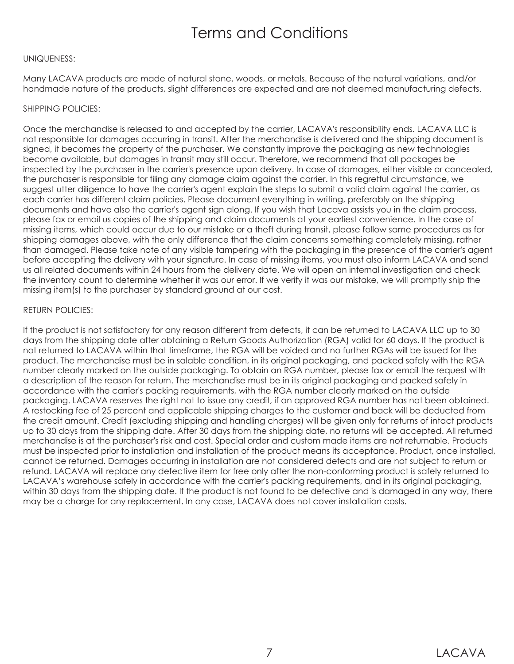### Terms and Conditions

#### UNIQUENESS:

Many LACAVA products are made of natural stone, woods, or metals. Because of the natural variations, and/or handmade nature of the products, slight differences are expected and are not deemed manufacturing defects.

#### SHIPPING POLICIES:

Once the merchandise is released to and accepted by the carrier, LACAVA's responsibility ends. LACAVA LLC is not responsible for damages occurring in transit. After the merchandise is delivered and the shipping document is signed, it becomes the property of the purchaser. We constantly improve the packaging as new technologies become available, but damages in transit may still occur. Therefore, we recommend that all packages be inspected by the purchaser in the carrier's presence upon delivery. In case of damages, either visible or concealed, the purchaser is responsible for filing any damage claim against the carrier. In this regretful circumstance, we suggest utter diligence to have the carrier's agent explain the steps to submit a valid claim against the carrier, as each carrier has different claim policies. Please document everything in writing, preferably on the shipping documents and have also the carrier's agent sign along. If you wish that Lacava assists you in the claim process, please fax or email us copies of the shipping and claim documents at your earliest convenience. In the case of missing items, which could occur due to our mistake or a theft during transit, please follow same procedures as for shipping damages above, with the only difference that the claim concerns something completely missing, rather than damaged. Please take note of any visible tampering with the packaging in the presence of the carrier's agent before accepting the delivery with your signature. In case of missing items, you must also inform LACAVA and send us all related documents within 24 hours from the delivery date. We will open an internal investigation and check the inventory count to determine whether it was our error. If we verify it was our mistake, we will promptly ship the missing item(s) to the purchaser by standard ground at our cost.

#### RETURN POLICIES:

If the product is not satisfactory for any reason different from defects, it can be returned to LACAVA LLC up to 30 days from the shipping date after obtaining a Return Goods Authorization (RGA) valid for 60 days. If the product is not returned to LACAVA within that timeframe, the RGA will be voided and no further RGAs will be issued for the product. The merchandise must be in salable condition, in its original packaging, and packed safely with the RGA number clearly marked on the outside packaging. To obtain an RGA number, please fax or email the request with a description of the reason for return. The merchandise must be in its original packaging and packed safely in accordance with the carrier's packing requirements, with the RGA number clearly marked on the outside packaging. LACAVA reserves the right not to issue any credit, if an approved RGA number has not been obtained. A restocking fee of 25 percent and applicable shipping charges to the customer and back will be deducted from the credit amount. Credit (excluding shipping and handling charges) will be given only for returns of intact products up to 30 days from the shipping date. After 30 days from the shipping date, no returns will be accepted. All returned merchandise is at the purchaser's risk and cost. Special order and custom made items are not returnable. Products must be inspected prior to installation and installation of the product means its acceptance. Product, once installed, cannot be returned. Damages occurring in installation are not considered defects and are not subject to return or refund. LACAVA will replace any defective item for free only after the non-conforming product is safely returned to LACAVA's warehouse safely in accordance with the carrier's packing requirements, and in its original packaging, within 30 days from the shipping date. If the product is not found to be defective and is damaged in any way, there may be a charge for any replacement. In any case, LACAVA does not cover installation costs.